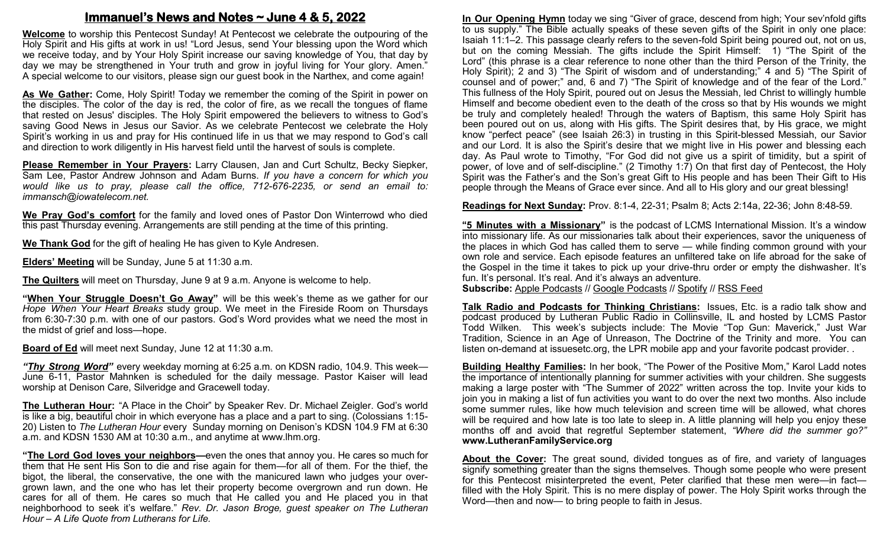## **Immanuel's News and Notes ~ June 4 & 5, 2022**

**Welcome** to worship this Pentecost Sunday! At Pentecost we celebrate the outpouring of the Holy Spirit and His gifts at work in us! "Lord Jesus, send Your blessing upon the Word which we receive today, and by Your Holy Spirit increase our saving knowledge of You, that day by day we may be strengthened in Your truth and grow in joyful living for Your glory. Amen." A special welcome to our visitors, please sign our guest book in the Narthex, and come again!

**As We Gather:** Come, Holy Spirit! Today we remember the coming of the Spirit in power on the disciples. The color of the day is red, the color of fire, as we recall the tongues of flame that rested on Jesus' disciples. The Holy Spirit empowered the believers to witness to God's saving Good News in Jesus our Savior. As we celebrate Pentecost we celebrate the Holy Spirit's working in us and pray for His continued life in us that we may respond to God's call and direction to work diligently in His harvest field until the harvest of souls is complete.

**Please Remember in Your Prayers:** Larry Clausen, Jan and Curt Schultz, Becky Siepker, Sam Lee, Pastor Andrew Johnson and Adam Burns. *If you have a concern for which you would like us to pray, please call the office, 712-676-2235, or send an email to: immansch@iowatelecom.net.*

**We Pray God's comfort** for the family and loved ones of Pastor Don Winterrowd who died this past Thursday evening. Arrangements are still pending at the time of this printing.

**We Thank God** for the gift of healing He has given to Kyle Andresen.

**Elders' Meeting** will be Sunday, June 5 at 11:30 a.m.

**The Quilters** will meet on Thursday, June 9 at 9 a.m. Anyone is welcome to help.

**"When Your Struggle Doesn't Go Away"** will be this week's theme as we gather for our *Hope When Your Heart Breaks* study group. We meet in the Fireside Room on Thursdays from 6:30-7:30 p.m. with one of our pastors. God's Word provides what we need the most in the midst of grief and loss—hope.

**Board of Ed** will meet next Sunday, June 12 at 11:30 a.m.

*"Thy Strong Word"* every weekday morning at 6:25 a.m. on KDSN radio, 104.9. This week— June 6-11, Pastor Mahnken is scheduled for the daily message. Pastor Kaiser will lead worship at Denison Care, Silveridge and Gracewell today.

**The Lutheran Hour:** "A Place in the Choir" by Speaker Rev. Dr. Michael Zeigler. God's world is like a big, beautiful choir in which everyone has a place and a part to sing. (Colossians 1:15- 20) Listen to *The Lutheran Hour* every Sunday morning on Denison's KDSN 104.9 FM at 6:30 a.m. and KDSN 1530 AM at 10:30 a.m., and anytime at www.lhm.org.

**"The Lord God loves your neighbors—**even the ones that annoy you. He cares so much for them that He sent His Son to die and rise again for them—for all of them. For the thief, the bigot, the liberal, the conservative, the one with the manicured lawn who judges your overgrown lawn, and the one who has let their property become overgrown and run down. He cares for all of them. He cares so much that He called you and He placed you in that neighborhood to seek it's welfare." *Rev. Dr. Jason Broge, guest speaker on The Lutheran Hour – A Life Quote from Lutherans for Life.*

**In Our Opening Hymn** today we sing "Giver of grace, descend from high; Your sev'nfold gifts to us supply." The Bible actually speaks of these seven gifts of the Spirit in only one place: Isaiah 11:1–2. This passage clearly refers to the seven-fold Spirit being poured out, not on us, but on the coming Messiah. The gifts include the Spirit Himself: 1) "The Spirit of the Lord" (this phrase is a clear reference to none other than the third Person of the Trinity, the Holy Spirit); 2 and 3) "The Spirit of wisdom and of understanding;" 4 and 5) "The Spirit of counsel and of power;" and, 6 and 7) "The Spirit of knowledge and of the fear of the Lord." This fullness of the Holy Spirit, poured out on Jesus the Messiah, led Christ to willingly humble Himself and become obedient even to the death of the cross so that by His wounds we might be truly and completely healed! Through the waters of Baptism, this same Holy Spirit has been poured out on us, along with His gifts. The Spirit desires that, by His grace, we might know "perfect peace" (see Isaiah 26:3) in trusting in this Spirit-blessed Messiah, our Savior and our Lord. It is also the Spirit's desire that we might live in His power and blessing each day. As Paul wrote to Timothy, "For God did not give us a spirit of timidity, but a spirit of power, of love and of self-discipline." (2 Timothy 1:7) On that first day of Pentecost, the Holy Spirit was the Father's and the Son's great Gift to His people and has been Their Gift to His people through the Means of Grace ever since. And all to His glory and our great blessing!

**Readings for Next Sunday:** Prov. 8:1-4, 22-31; Psalm 8; Acts 2:14a, 22-36; John 8:48-59.

**"5 Minutes with a Missionary"** is the podcast of LCMS International Mission. It's a window into missionary life. As our missionaries talk about their experiences, savor the uniqueness of the places in which God has called them to serve — while finding common ground with your own role and service. Each episode features an unfiltered take on life abroad for the sake of the Gospel in the time it takes to pick up your drive-thru order or empty the dishwasher. It's fun. It's personal. It's real. And it's always an adventure. **Subscribe:** [Apple Podcasts](https://podcasts.apple.com/us/podcast/5-minutes-with-a-missionary-%E2%80%94-lcms-international-mission/id1616239680) // [Google Podcasts](https://podcasts.google.com/feed/aHR0cHM6Ly9rZnVvLXJzcy5zdHJlYW1ndXlzMS5jb20vNS1NaW51dGVzLXdpdGgtYS1NaXNzaW9uYXJ5LzUtbWludXRlcy13aXRoLWEtbWlzc2lvbmFyeS1nb29nbGUtcG9kY2FzdHMueG1s) // [Spotify](https://open.spotify.com/show/2yCtaUIl59HXY5kGdk2TJ0) // [RSS Feed](https://kfuo-rss.streamguys1.com/kfuo/5-minutes-with-a-missionary.xml)

**Talk Radio and Podcasts for Thinking Christians:** Issues, Etc. is a radio talk show and podcast produced by Lutheran Public Radio in Collinsville, IL and hosted by LCMS Pastor Todd Wilken. This week's subjects include: The Movie "Top Gun: Maverick," Just War Tradition, Science in an Age of Unreason, The Doctrine of the Trinity and more. You can listen on-demand at issuesetc.org, the LPR mobile app and your favorite podcast provider. .

**Building Healthy Families:** In her book, "The Power of the Positive Mom," Karol Ladd notes the importance of intentionally planning for summer activities with your children. She suggests making a large poster with "The Summer of 2022" written across the top. Invite your kids to join you in making a list of fun activities you want to do over the next two months. Also include some summer rules, like how much television and screen time will be allowed, what chores will be required and how late is too late to sleep in. A little planning will help you enjoy these months off and avoid that regretful September statement, *"Where did the summer go?"* **www.LutheranFamilyService.org**

**About the Cover:** The great sound, divided tongues as of fire, and variety of languages signify something greater than the signs themselves. Though some people who were present for this Pentecost misinterpreted the event, Peter clarified that these men were—in fact filled with the Holy Spirit. This is no mere display of power. The Holy Spirit works through the Word—then and now— to bring people to faith in Jesus.